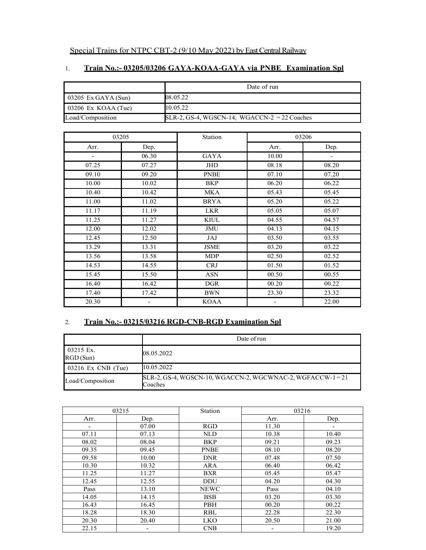Special Trains for NTPC CBT-2 (9/10 May 2022) by East Central Railway

# 1. **Train No.:- 03205/03206 GAYA-KOAA-GAYA via PNBE Examination Spl**

|                       | Date of run                                     |
|-----------------------|-------------------------------------------------|
| 03205 Ex GAYA $(Sun)$ | 08.05.22                                        |
| 03206 Ex KOAA (Tue)   | 10.05.22                                        |
| Load/Composition      | $SLR-2$ , GS-4, WGSCN-14, WGACCN-2 = 22 Coaches |

|                          | 03205                    | Station     | 03206                    |                          |
|--------------------------|--------------------------|-------------|--------------------------|--------------------------|
| Arr.                     | Dep.                     |             | Arr.                     | Dep.                     |
| $\overline{\phantom{0}}$ | 06.30                    | GAYA        | 10.00                    | $\overline{\phantom{0}}$ |
| 07.25                    | 07.27                    | JHD         | 08.18                    | 08.20                    |
| 09.10                    | 09.20                    | <b>PNBE</b> | 07.10                    | 07.20                    |
| 10.00                    | 10.02                    | <b>BKP</b>  | 06.20                    | 06.22                    |
| 10.40                    | 10.42                    | <b>MKA</b>  | 05.43                    | 05.45                    |
| 11.00                    | 11.02                    | <b>BRYA</b> | 05.20                    | 05.22                    |
| 11.17                    | 11.19                    | <b>LKR</b>  | 05.05                    | 05.07                    |
| 11.25                    | 11.27                    | <b>KIUL</b> | 04.55                    | 04.57                    |
| 12.00                    | 12.02                    | <b>JMU</b>  | 04.13                    | 04.15                    |
| 12.45                    | 12.50                    | JAJ         | 03.50                    | 03.55                    |
| 13.29                    | 13.31                    | <b>JSME</b> | 03.20                    | 03.22                    |
| 13.56                    | 13.58                    | <b>MDP</b>  | 02.50                    | 02.52                    |
| 14.53                    | 14.55                    | <b>CRJ</b>  | 01.50                    | 01.52                    |
| 15.45                    | 15.50                    | <b>ASN</b>  | 00.50                    | 00.55                    |
| 16.40                    | 16.42                    | <b>DGR</b>  | 00.20                    | 00.22                    |
| 17.40                    | 17.42                    | <b>BWN</b>  | 23.30                    | 23.32                    |
| 20.30                    | $\overline{\phantom{0}}$ | <b>KOAA</b> | $\overline{\phantom{a}}$ | 22.00                    |

#### 2. **Train No.:- 03215/03216 RGD-CNB-RGD Examination Spl**

|                         | Date of run                                                         |
|-------------------------|---------------------------------------------------------------------|
| $03215$ Ex.<br>RGD(Sun) | 08.05.2022                                                          |
| $03216$ Ex CNB (Tue)    | 10.05.2022                                                          |
| Load/Composition        | SLR-2, GS-4, WGSCN-10, WGACCN-2, WGCWNAC-2, WGFACCW-1=21<br>Coaches |

|                          | 03215 |             | Station                  |       | 03216 |  |
|--------------------------|-------|-------------|--------------------------|-------|-------|--|
| Arr.                     | Dep.  |             | Arr.                     | Dep.  |       |  |
| $\overline{\phantom{a}}$ | 07.00 | <b>RGD</b>  | 11.30                    | ٠     |       |  |
| 07.11                    | 07.13 | <b>NLD</b>  | 10.38                    | 10.40 |       |  |
| 08.02                    | 08.04 | <b>BKP</b>  | 09.21                    | 09.23 |       |  |
| 09.35                    | 09.45 | <b>PNBE</b> | 08.10                    | 08.20 |       |  |
| 09.58                    | 10.00 | <b>DNR</b>  | 07.48                    | 07.50 |       |  |
| 10.30                    | 10.32 | ARA         | 06.40                    | 06.42 |       |  |
| 11.25                    | 11.27 | <b>BXR</b>  | 05.45                    | 05.47 |       |  |
| 12.45                    | 12.55 | <b>DDU</b>  | 04.20                    | 04.30 |       |  |
| Pass                     | 13.10 | <b>NEWC</b> | Pass                     | 04.10 |       |  |
| 14.05                    | 14.15 | <b>BSB</b>  | 03.20                    | 03.30 |       |  |
| 16.43                    | 16.45 | <b>PBH</b>  | 00.20                    | 00.22 |       |  |
| 18.28                    | 18.30 | <b>RBL</b>  | 22.28                    | 22.30 |       |  |
| 20.30                    | 20.40 | <b>LKO</b>  | 20.50                    | 21.00 |       |  |
| 22.15                    |       | CNB         | $\overline{\phantom{a}}$ | 19.20 |       |  |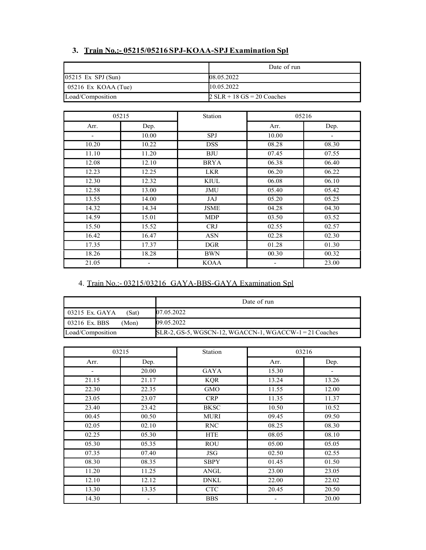### **3. Train No.:- 05215/05216 SPJ-KOAA-SPJ Examination Spl**

|                       | Date of run                  |
|-----------------------|------------------------------|
| $05215$ Ex SPJ (Sun)  | 08.05.2022                   |
| $05216$ Ex KOAA (Tue) | 10.05.2022                   |
| Load/Composition      | $2 SLR + 18 GS = 20 Coaches$ |

|                          | 05215 | Station<br>05216 |                          |                          |
|--------------------------|-------|------------------|--------------------------|--------------------------|
| Arr.                     | Dep.  |                  | Arr.                     | Dep.                     |
| $\overline{\phantom{a}}$ | 10.00 | <b>SPJ</b>       | 10.00                    | $\overline{\phantom{a}}$ |
| 10.20                    | 10.22 | <b>DSS</b>       | 08.28                    | 08.30                    |
| 11.10                    | 11.20 | <b>BJU</b>       | 07.45                    | 07.55                    |
| 12.08                    | 12.10 | <b>BRYA</b>      | 06.38                    | 06.40                    |
| 12.23                    | 12.25 | <b>LKR</b>       | 06.20                    | 06.22                    |
| 12.30                    | 12.32 | <b>KIUL</b>      | 06.08                    | 06.10                    |
| 12.58                    | 13.00 | <b>JMU</b>       | 05.40                    | 05.42                    |
| 13.55                    | 14.00 | JAJ              | 05.20                    | 05.25                    |
| 14.32                    | 14.34 | <b>JSME</b>      | 04.28                    | 04.30                    |
| 14.59                    | 15.01 | <b>MDP</b>       | 03.50                    | 03.52                    |
| 15.50                    | 15.52 | <b>CRJ</b>       | 02.55                    | 02.57                    |
| 16.42                    | 16.47 | <b>ASN</b>       | 02.28                    | 02.30                    |
| 17.35                    | 17.37 | <b>DGR</b>       | 01.28                    | 01.30                    |
| 18.26                    | 18.28 | <b>BWN</b>       | 00.30                    | 00.32                    |
| 21.05                    |       | <b>KOAA</b>      | $\overline{\phantom{a}}$ | 23.00                    |

#### 4. Train No.:- 03215/03216 GAYA-BBS-GAYA Examination Spl

|                         | Date of run                                               |
|-------------------------|-----------------------------------------------------------|
| 03215 Ex. GAYA<br>(Sat) | 07.05.2022                                                |
| 03216 Ex. BBS<br>(Mon)  | 09.05.2022                                                |
| Load/Composition        | $SLR-2$ , GS-5, WGSCN-12, WGACCN-1, WGACCW-1 = 21 Coaches |

|                          | 03215 | Station     | 03216 |                          |
|--------------------------|-------|-------------|-------|--------------------------|
| Arr.                     | Dep.  |             | Arr.  | Dep.                     |
| $\overline{\phantom{0}}$ | 20.00 | <b>GAYA</b> | 15.30 | $\overline{\phantom{0}}$ |
| 21.15                    | 21.17 | <b>KQR</b>  | 13.24 | 13.26                    |
| 22.30                    | 22.35 | <b>GMO</b>  | 11.55 | 12.00                    |
| 23.05                    | 23.07 | <b>CRP</b>  | 11.35 | 11.37                    |
| 23.40                    | 23.42 | <b>BKSC</b> | 10.50 | 10.52                    |
| 00.45                    | 00.50 | <b>MURI</b> | 09.45 | 09.50                    |
| 02.05                    | 02.10 | <b>RNC</b>  | 08.25 | 08.30                    |
| 02.25                    | 05.30 | <b>HTE</b>  | 08.05 | 08.10                    |
| 05.30                    | 05.35 | <b>ROU</b>  | 05.00 | 05.05                    |
| 07.35                    | 07.40 | <b>JSG</b>  | 02.50 | 02.55                    |
| 08.30                    | 08.35 | <b>SBPY</b> | 01.45 | 01.50                    |
| 11.20                    | 11.25 | ANGL        | 23.00 | 23.05                    |
| 12.10                    | 12.12 | <b>DNKL</b> | 22.00 | 22.02                    |
| 13.30                    | 13.35 | <b>CTC</b>  | 20.45 | 20.50                    |
| 14.30                    |       | <b>BBS</b>  |       | 20.00                    |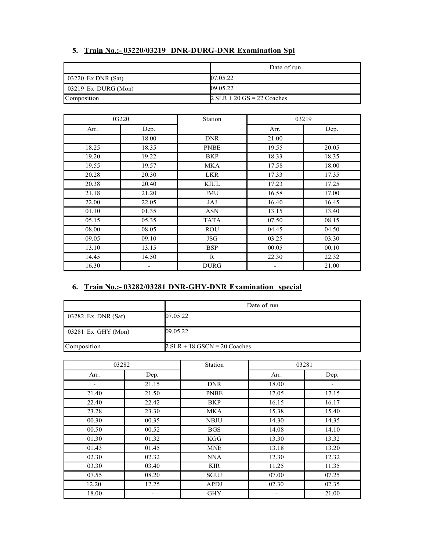#### **5. Train No.:- 03220/03219 DNR-DURG-DNR Examination Spl**

|                       | Date of run                  |
|-----------------------|------------------------------|
| $03220$ Ex DNR (Sat)  | 07.05.22                     |
| $03219$ Ex DURG (Mon) | 09.05.22                     |
| Composition           | $2 SLR + 20 GS = 22 Coaches$ |

|                          | 03220                    | Station     | 03219 |                          |
|--------------------------|--------------------------|-------------|-------|--------------------------|
| Arr.                     | Dep.                     |             | Arr.  | Dep.                     |
| $\overline{\phantom{a}}$ | 18.00                    | <b>DNR</b>  | 21.00 | $\overline{\phantom{a}}$ |
| 18.25                    | 18.35                    | <b>PNBE</b> | 19.55 | 20.05                    |
| 19.20                    | 19.22                    | <b>BKP</b>  | 18.33 | 18.35                    |
| 19.55                    | 19.57                    | <b>MKA</b>  | 17.58 | 18.00                    |
| 20.28                    | 20.30                    | <b>LKR</b>  | 17.33 | 17.35                    |
| 20.38                    | 20.40                    | <b>KIUL</b> | 17.23 | 17.25                    |
| 21.18                    | 21.20                    | <b>JMU</b>  | 16.58 | 17.00                    |
| 22.00                    | 22.05                    | JAJ         | 16.40 | 16.45                    |
| 01.10                    | 01.35                    | <b>ASN</b>  | 13.15 | 13.40                    |
| 05.15                    | 05.35                    | <b>TATA</b> | 07.50 | 08.15                    |
| 08.00                    | 08.05                    | <b>ROU</b>  | 04.45 | 04.50                    |
| 09.05                    | 09.10                    | <b>JSG</b>  | 03.25 | 03.30                    |
| 13.10                    | 13.15                    | <b>BSP</b>  | 00.05 | 00.10                    |
| 14.45                    | 14.50                    | R           | 22.30 | 22.32                    |
| 16.30                    | $\overline{\phantom{a}}$ | <b>DURG</b> | -     | 21.00                    |

#### **6. Train No.:- 03282/03281 DNR-GHY-DNR Examination special**

|                    | Date of run                    |
|--------------------|--------------------------------|
| 03282 Ex DNR (Sat) | 07.05.22                       |
| 03281 Ex GHY (Mon) | 09.05.22                       |
| Composition        | $2 SLR + 18 GSCN = 20 Coaches$ |

| 03282 |                          | Station     | 03281 |       |
|-------|--------------------------|-------------|-------|-------|
| Arr.  | Dep.                     |             | Arr.  | Dep.  |
|       | 21.15                    | <b>DNR</b>  | 18.00 |       |
| 21.40 | 21.50                    | <b>PNBE</b> | 17.05 | 17.15 |
| 22.40 | 22.42                    | <b>BKP</b>  | 16.15 | 16.17 |
| 23.28 | 23.30                    | <b>MKA</b>  | 15.38 | 15.40 |
| 00.30 | 00.35                    | <b>NBJU</b> | 14.30 | 14.35 |
| 00.50 | 00.52                    | <b>BGS</b>  | 14.08 | 14.10 |
| 01.30 | 01.32                    | KGG         | 13.30 | 13.32 |
| 01.43 | 01.45                    | <b>MNE</b>  | 13.18 | 13.20 |
| 02.30 | 02.32                    | <b>NNA</b>  | 12.30 | 12.32 |
| 03.30 | 03.40                    | <b>KIR</b>  | 11.25 | 11.35 |
| 07.55 | 08.20                    | SGUJ        | 07.00 | 07.25 |
| 12.20 | 12.25                    | <b>APDJ</b> | 02.30 | 02.35 |
| 18.00 | $\overline{\phantom{a}}$ | <b>GHY</b>  |       | 21.00 |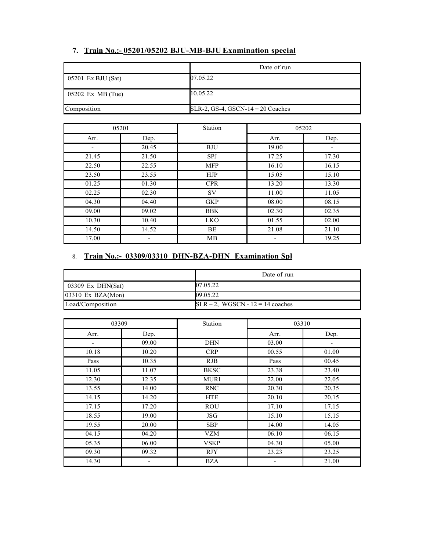#### **7. Train No.:- 05201/05202 BJU-MB-BJU Examination special**

|                      | Date of run                          |
|----------------------|--------------------------------------|
| $05201$ Ex BJU (Sat) | 07.05.22                             |
| $05202$ Ex MB (Tue)  | 10.05.22                             |
| Composition          | $SLR-2$ , GS-4, GSCN-14 = 20 Coaches |

| 05201 |       | Station    | 05202 |       |
|-------|-------|------------|-------|-------|
| Arr.  | Dep.  |            | Arr.  | Dep.  |
|       | 20.45 | <b>BJU</b> | 19.00 |       |
| 21.45 | 21.50 | <b>SPJ</b> | 17.25 | 17.30 |
| 22.50 | 22.55 | <b>MFP</b> | 16.10 | 16.15 |
| 23.50 | 23.55 | <b>HJP</b> | 15.05 | 15.10 |
| 01.25 | 01.30 | <b>CPR</b> | 13.20 | 13.30 |
| 02.25 | 02.30 | <b>SV</b>  | 11.00 | 11.05 |
| 04.30 | 04.40 | <b>GKP</b> | 08.00 | 08.15 |
| 09.00 | 09.02 | <b>BBK</b> | 02.30 | 02.35 |
| 10.30 | 10.40 | <b>LKO</b> | 01.55 | 02.00 |
| 14.50 | 14.52 | BE         | 21.08 | 21.10 |
| 17.00 |       | MB         |       | 19.25 |

## 8. **Train No.:- 03309/03310 DHN-BZA-DHN Examination Spl**

|                     | Date of run                         |
|---------------------|-------------------------------------|
| $03309$ Ex DHN(Sat) | 07.05.22                            |
| $03310$ Ex BZA(Mon) | 09.05.22                            |
| Load/Composition    | $SLR - 2$ , WGSCN - 12 = 14 coaches |

| 03309 |       | Station     | 03310 |       |
|-------|-------|-------------|-------|-------|
| Arr.  | Dep.  |             | Arr.  | Dep.  |
| -     | 09.00 | <b>DHN</b>  | 03.00 |       |
| 10.18 | 10.20 | <b>CRP</b>  | 00.55 | 01.00 |
| Pass  | 10.35 | <b>RJB</b>  | Pass  | 00.45 |
| 11.05 | 11.07 | <b>BKSC</b> | 23.38 | 23.40 |
| 12.30 | 12.35 | <b>MURI</b> | 22.00 | 22.05 |
| 13.55 | 14.00 | <b>RNC</b>  | 20.30 | 20.35 |
| 14.15 | 14.20 | <b>HTE</b>  | 20.10 | 20.15 |
| 17.15 | 17.20 | <b>ROU</b>  | 17.10 | 17.15 |
| 18.55 | 19.00 | <b>JSG</b>  | 15.10 | 15.15 |
| 19.55 | 20.00 | <b>SBP</b>  | 14.00 | 14.05 |
| 04.15 | 04.20 | <b>VZM</b>  | 06.10 | 06.15 |
| 05.35 | 06.00 | <b>VSKP</b> | 04.30 | 05.00 |
| 09.30 | 09.32 | <b>RJY</b>  | 23.23 | 23.25 |
| 14.30 |       | <b>BZA</b>  |       | 21.00 |